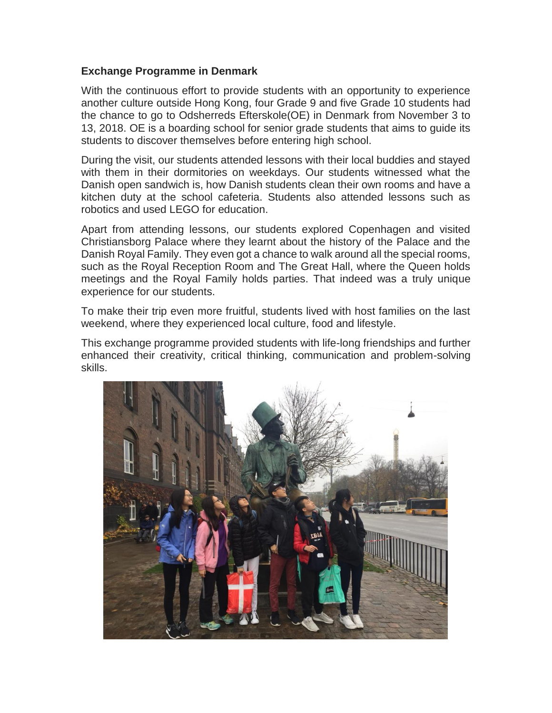## **Exchange Programme in Denmark**

With the continuous effort to provide students with an opportunity to experience another culture outside Hong Kong, four Grade 9 and five Grade 10 students had the chance to go to Odsherreds Efterskole(OE) in Denmark from November 3 to 13, 2018. OE is a boarding school for senior grade students that aims to guide its students to discover themselves before entering high school.

During the visit, our students attended lessons with their local buddies and stayed with them in their dormitories on weekdays. Our students witnessed what the Danish open sandwich is, how Danish students clean their own rooms and have a kitchen duty at the school cafeteria. Students also attended lessons such as robotics and used LEGO for education.

Apart from attending lessons, our students explored Copenhagen and visited Christiansborg Palace where they learnt about the history of the Palace and the Danish Royal Family. They even got a chance to walk around all the special rooms, such as the Royal Reception Room and The Great Hall, where the Queen holds meetings and the Royal Family holds parties. That indeed was a truly unique experience for our students.

To make their trip even more fruitful, students lived with host families on the last weekend, where they experienced local culture, food and lifestyle.

This exchange programme provided students with life-long friendships and further enhanced their creativity, critical thinking, communication and problem-solving skills.

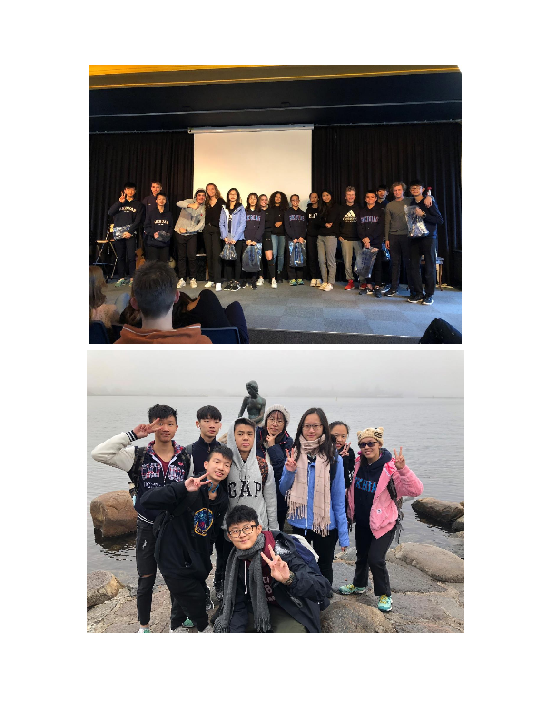